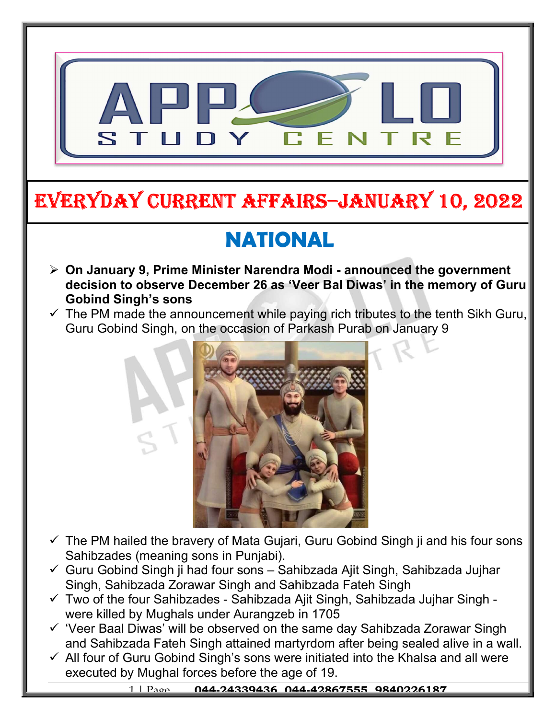

## EVERYDAY CURRENT AFFAIRS–JANUARY 10, 2022

# NATIONAL

-

- $\triangleright$  On January 9, Prime Minister Narendra Modi announced the government decision to observe December 26 as 'Veer Bal Diwas' in the memory of Guru Gobind Singh's sons
- $\checkmark$  The PM made the announcement while paying rich tributes to the tenth Sikh Guru, Guru Gobind Singh, on the occasion of Parkash Purab on January 9



- $\checkmark$  The PM hailed the bravery of Mata Gujari, Guru Gobind Singh ji and his four sons Sahibzades (meaning sons in Punjabi).
- Guru Gobind Singh ji had four sons Sahibzada Ajit Singh, Sahibzada Jujhar Singh, Sahibzada Zorawar Singh and Sahibzada Fateh Singh
- $\checkmark$  Two of the four Sahibzades Sahibzada Ajit Singh, Sahibzada Jujhar Singh were killed by Mughals under Aurangzeb in 1705
- $\checkmark$  'Veer Baal Diwas' will be observed on the same day Sahibzada Zorawar Singh and Sahibzada Fateh Singh attained martyrdom after being sealed alive in a wall.
- $\checkmark$  All four of Guru Gobind Singh's sons were initiated into the Khalsa and all were executed by Mughal forces before the age of 19.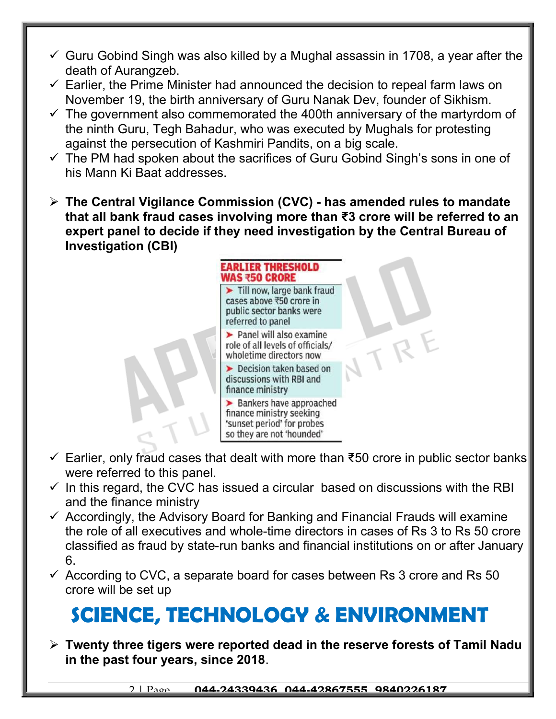- $\checkmark$  Guru Gobind Singh was also killed by a Mughal assassin in 1708, a year after the death of Aurangzeb.
- $\checkmark$  Earlier, the Prime Minister had announced the decision to repeal farm laws on November 19, the birth anniversary of Guru Nanak Dev, founder of Sikhism.
- $\checkmark$  The government also commemorated the 400th anniversary of the martyrdom of the ninth Guru, Tegh Bahadur, who was executed by Mughals for protesting against the persecution of Kashmiri Pandits, on a big scale.
- $\checkmark$  The PM had spoken about the sacrifices of Guru Gobind Singh's sons in one of his Mann Ki Baat addresses.
- $\triangleright$  The Central Vigilance Commission (CVC) has amended rules to mandate that all bank fraud cases involving more than ₹3 crore will be referred to an expert panel to decide if they need investigation by the Central Bureau of Investigation (CBI)



- Earlier, only fraud cases that dealt with more than ₹50 crore in public sector banks were referred to this panel.
- $\checkmark$  In this regard, the CVC has issued a circular based on discussions with the RBI and the finance ministry
- $\checkmark$  Accordingly, the Advisory Board for Banking and Financial Frauds will examine the role of all executives and whole-time directors in cases of Rs 3 to Rs 50 crore classified as fraud by state-run banks and financial institutions on or after January 6.
- $\checkmark$  According to CVC, a separate board for cases between Rs 3 crore and Rs 50 crore will be set up

## SCIENCE, TECHNOLOGY & ENVIRONMENT

 $\triangleright$  Twenty three tigers were reported dead in the reserve forests of Tamil Nadu in the past four years, since 2018.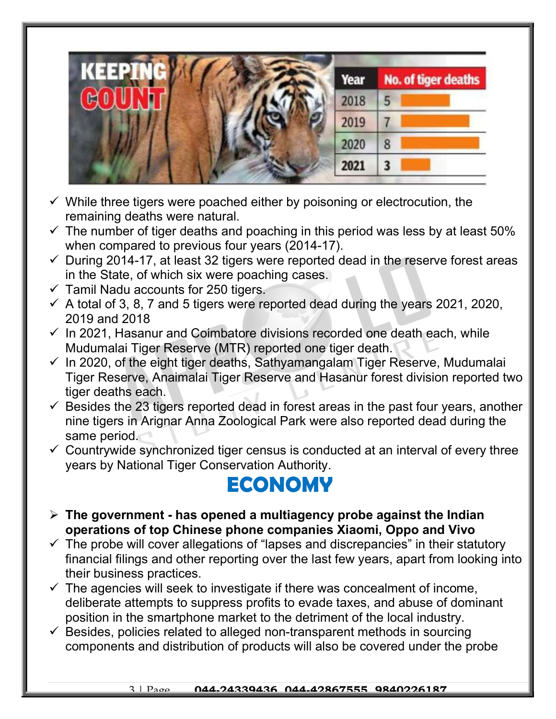

- $\checkmark$  While three tigers were poached either by poisoning or electrocution, the remaining deaths were natural.
- $\checkmark$  The number of tiger deaths and poaching in this period was less by at least 50% when compared to previous four years (2014-17).
- $\checkmark$  During 2014-17, at least 32 tigers were reported dead in the reserve forest areas in the State, of which six were poaching cases.
- $\checkmark$  Tamil Nadu accounts for 250 tigers.
- $\checkmark$  A total of 3, 8, 7 and 5 tigers were reported dead during the years 2021, 2020, 2019 and 2018
- $\checkmark$  In 2021, Hasanur and Coimbatore divisions recorded one death each, while Mudumalai Tiger Reserve (MTR) reported one tiger death.
- $\checkmark$  In 2020, of the eight tiger deaths, Sathyamangalam Tiger Reserve, Mudumalai Tiger Reserve, Anaimalai Tiger Reserve and Hasanur forest division reported two tiger deaths each.
- $\checkmark$  Besides the 23 tigers reported dead in forest areas in the past four years, another nine tigers in Arignar Anna Zoological Park were also reported dead during the same period.
- $\checkmark$  Countrywide synchronized tiger census is conducted at an interval of every three years by National Tiger Conservation Authority.

### ECONOMY

- $\triangleright$  The government has opened a multiagency probe against the Indian operations of top Chinese phone companies Xiaomi, Oppo and Vivo
- $\checkmark$  The probe will cover allegations of "lapses and discrepancies" in their statutory financial filings and other reporting over the last few years, apart from looking into their business practices.
- $\checkmark$  The agencies will seek to investigate if there was concealment of income, deliberate attempts to suppress profits to evade taxes, and abuse of dominant position in the smartphone market to the detriment of the local industry.
- $\checkmark$  Besides, policies related to alleged non-transparent methods in sourcing components and distribution of products will also be covered under the probe